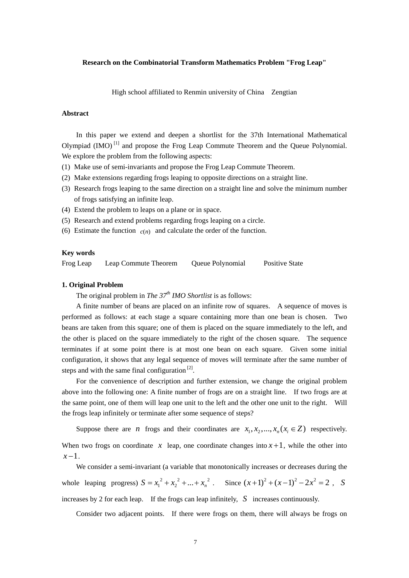## **Research on the Combinatorial Transform Mathematics Problem "Frog Leap"**

High school affiliated to Renmin university of China Zengtian

### **Abstract**

In this paper we extend and deepen a shortlist for the 37th International Mathematical Olympiad (IMO) [1] and propose the Frog Leap Commute Theorem and the Queue Polynomial. We explore the problem from the following aspects:

- (1) Make use of semi-invariants and propose the Frog Leap Commute Theorem.
- (2) Make extensions regarding frogs leaping to opposite directions on a straight line.
- (3) Research frogs leaping to the same direction on a straight line and solve the minimum number of frogs satisfying an infinite leap.
- (4) Extend the problem to leaps on a plane or in space.
- (5) Research and extend problems regarding frogs leaping on a circle.
- (6) Estimate the function  $c(n)$  and calculate the order of the function.

### **Key words**

Frog Leap Leap Commute Theorem Queue Polynomial Positive State

### **1. Original Problem**

The original problem in *The 37<sup>th</sup> IMO Shortlist* is as follows:

A finite number of beans are placed on an infinite row of squares. A sequence of moves is performed as follows: at each stage a square containing more than one bean is chosen. Two beans are taken from this square; one of them is placed on the square immediately to the left, and the other is placed on the square immediately to the right of the chosen square. The sequence terminates if at some point there is at most one bean on each square. Given some initial configuration, it shows that any legal sequence of moves will terminate after the same number of steps and with the same final configuration  $[2]$ .

For the convenience of description and further extension, we change the original problem above into the following one: A finite number of frogs are on a straight line. If two frogs are at the same point, one of them will leap one unit to the left and the other one unit to the right. Will the frogs leap infinitely or terminate after some sequence of steps?

Suppose there are *n* frogs and their coordinates are  $x_1, x_2, ..., x_n$  ( $x_i \in Z$ ) respectively. When two frogs on coordinate  $x$  leap, one coordinate changes into  $x + 1$ , while the other into *x* −1.

We consider a semi-invariant (a variable that monotonically increases or decreases during the whole leaping progress)  $S = x_1^2 + x_2^2 + ... + x_n^2$ . Since  $(x+1)^2 + (x-1)^2 - 2x^2 = 2$ , S increases by 2 for each leap. If the frogs can leap infinitely,  $S$  increases continuously.

Consider two adjacent points. If there were frogs on them, there will always be frogs on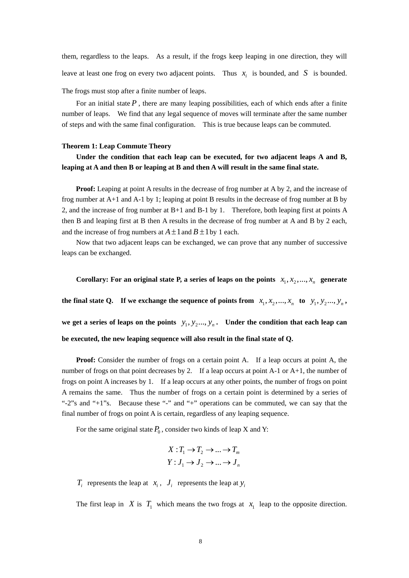them, regardless to the leaps. As a result, if the frogs keep leaping in one direction, they will leave at least one frog on every two adjacent points. Thus  $x_i$  is bounded, and S is bounded.

The frogs must stop after a finite number of leaps.

For an initial state  $P$ , there are many leaping possibilities, each of which ends after a finite number of leaps. We find that any legal sequence of moves will terminate after the same number of steps and with the same final configuration. This is true because leaps can be commuted.

## **Theorem 1: Leap Commute Theory**

# **Under the condition that each leap can be executed, for two adjacent leaps A and B, leaping at A and then B or leaping at B and then A will result in the same final state.**

**Proof:** Leaping at point A results in the decrease of frog number at A by 2, and the increase of frog number at A+1 and A-1 by 1; leaping at point B results in the decrease of frog number at B by 2, and the increase of frog number at B+1 and B-1 by 1. Therefore, both leaping first at points A then B and leaping first at B then A results in the decrease of frog number at A and B by 2 each, and the increase of frog numbers at  $A \pm 1$  and  $B \pm 1$  by 1 each.

Now that two adjacent leaps can be exchanged, we can prove that any number of successive leaps can be exchanged.

**Corollary:** For an original state P, a series of leaps on the points  $x_1, x_2, ..., x_n$  generate

the final state Q. If we exchange the sequence of points from  $x_1, x_2, ..., x_n$  to  $y_1, y_2, ..., y_n$ ,

we get a series of leaps on the points  $y_1, y_2, ..., y_n$ . Under the condition that each leap can **be executed, the new leaping sequence will also result in the final state of Q.**

**Proof:** Consider the number of frogs on a certain point A. If a leap occurs at point A, the number of frogs on that point decreases by 2. If a leap occurs at point A-1 or A+1, the number of frogs on point A increases by 1. If a leap occurs at any other points, the number of frogs on point A remains the same. Thus the number of frogs on a certain point is determined by a series of "-2"s and "+1"s. Because these "-" and "+" operations can be commuted, we can say that the final number of frogs on point A is certain, regardless of any leaping sequence.

For the same original state  $P_0$ , consider two kinds of leap X and Y:

$$
X: T_1 \to T_2 \to \dots \to T_m
$$
  

$$
Y: J_1 \to J_2 \to \dots \to J_n
$$

 $T_i$  represents the leap at  $x_i$ ,  $J_i$  represents the leap at  $y_i$ 

The first leap in *X* is  $T_1$  which means the two frogs at  $x_1$  leap to the opposite direction.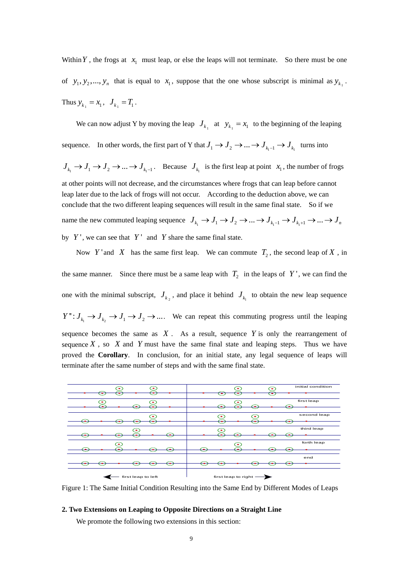Within Y, the frogs at  $x_1$  must leap, or else the leaps will not terminate. So there must be one of  $y_1, y_2, \ldots, y_n$  that is equal to  $x_1$ , suppose that the one whose subscript is minimal as  $y_{k_1}$ . Thus  $y_{k_1} = x_1, J_{k_1} = T_1$ .

We can now adjust Y by moving the leap  $J_{k_1}$  at  $y_{k_1} = x_1$  to the beginning of the leaping sequence. In other words, the first part of Y that  $J_1 \to J_2 \to \dots \to J_{k_1-1} \to J_{k_1}$  turns into  $J_{k_1} \to J_1 \to J_2 \to \dots \to J_{k_1-1}$ . Because  $J_{k_1}$  is the first leap at point  $x_1$ , the number of frogs at other points will not decrease, and the circumstances where frogs that can leap before cannot leap later due to the lack of frogs will not occur. According to the deduction above, we can conclude that the two different leaping sequences will result in the same final state. So if we name the new commuted leaping sequence  $J_{k_1} \to J_1 \to J_2 \to \dots \to J_{k_1-1} \to J_{k_1+1} \to \dots \to J_n$ by  $Y'$ , we can see that  $Y'$  and  $Y$  share the same final state.

Now Y' and X has the same first leap. We can commute  $T_2$ , the second leap of X, in the same manner. Since there must be a same leap with  $T_2$  in the leaps of Y', we can find the one with the minimal subscript,  $J_{k_2}$ , and place it behind  $J_{k_1}$  to obtain the new leap sequence  $Y'': J_{k_1} \to J_{k_2} \to J_1 \to J_2 \to \dots$ . We can repeat this commuting progress until the leaping sequence becomes the same as  $X$ . As a result, sequence  $Y$  is only the rearrangement of sequence  $X$ , so  $X$  and  $Y$  must have the same final state and leaping steps. Thus we have proved the **Corollary**. In conclusion, for an initial state, any legal sequence of leaps will terminate after the same number of steps and with the same final state.



Figure 1: The Same Initial Condition Resulting into the Same End by Different Modes of Leaps

## **2. Two Extensions on Leaping to Opposite Directions on a Straight Line**

We promote the following two extensions in this section: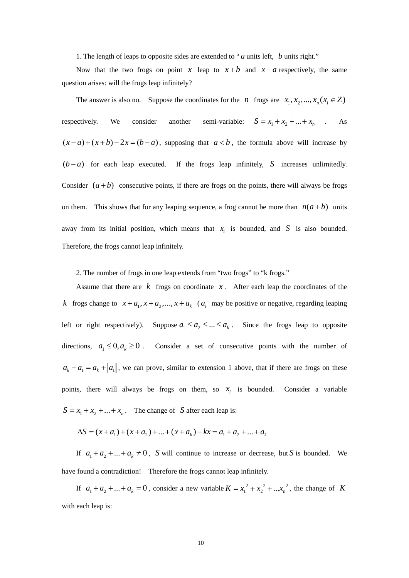1. The length of leaps to opposite sides are extended to " *a* units left, *b* units right."

Now that the two frogs on point *x* leap to  $x + b$  and  $x - a$  respectively, the same question arises: will the frogs leap infinitely?

The answer is also no. Suppose the coordinates for the *n* frogs are  $x_1, x_2, ..., x_n$  ( $x_i \in Z$ ) respectively. We consider another semi-variable:  $S = x_1 + x_2 + ... + x_n$  . As  $(x-a)+(x+b)-2x = (b-a)$ , supposing that  $a < b$ , the formula above will increase by  $(b - a)$  for each leap executed. If the frogs leap infinitely, S increases unlimitedly. Consider  $(a + b)$  consecutive points, if there are frogs on the points, there will always be frogs on them. This shows that for any leaping sequence, a frog cannot be more than  $n(a + b)$  units away from its initial position, which means that  $x_i$  is bounded, and S is also bounded. Therefore, the frogs cannot leap infinitely.

2. The number of frogs in one leap extends from "two frogs" to "k frogs."

Assume that there are  $k$  frogs on coordinate  $x$ . After each leap the coordinates of the *k* frogs change to  $x + a_1, x + a_2, ..., x + a_k$  ( $a_i$  may be positive or negative, regarding leaping left or right respectively). Suppose  $a_1 \le a_2 \le ... \le a_k$ . Since the frogs leap to opposite directions,  $a_1 \leq 0, a_k \geq 0$ . Consider a set of consecutive points with the number of  $a_k - a_1 = a_k + |a_1|$ , we can prove, similar to extension 1 above, that if there are frogs on these points, there will always be frogs on them, so  $x_i$  is bounded. Consider a variable  $S = x_1 + x_2 + ... + x_n$ . The change of S after each leap is:

$$
\Delta S = (x + a_1) + (x + a_2) + \dots + (x + a_k) - kx = a_1 + a_2 + \dots + a_k
$$

If  $a_1 + a_2 + ... + a_k \neq 0$ , *S* will continue to increase or decrease, but *S* is bounded. We have found a contradiction! Therefore the frogs cannot leap infinitely.

If  $a_1 + a_2 + ... + a_k = 0$ , consider a new variable  $K = x_1^2 + x_2^2 + ... x_n^2$ , the change of K with each leap is: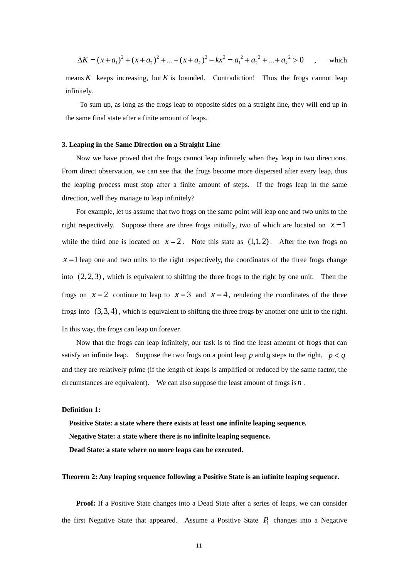$$
\Delta K = (x + a_1)^2 + (x + a_2)^2 + \dots + (x + a_k)^2 - kx^2 = a_1^2 + a_2^2 + \dots + a_k^2 > 0 \quad , \text{ which}
$$

means  $K$  keeps increasing, but  $K$  is bounded. Contradiction! Thus the frogs cannot leap infinitely.

To sum up, as long as the frogs leap to opposite sides on a straight line, they will end up in the same final state after a finite amount of leaps.

## **3. Leaping in the Same Direction on a Straight Line**

Now we have proved that the frogs cannot leap infinitely when they leap in two directions. From direct observation, we can see that the frogs become more dispersed after every leap, thus the leaping process must stop after a finite amount of steps. If the frogs leap in the same direction, well they manage to leap infinitely?

For example, let us assume that two frogs on the same point will leap one and two units to the right respectively. Suppose there are three frogs initially, two of which are located on  $x=1$ while the third one is located on  $x = 2$ . Note this state as  $(1,1,2)$ . After the two frogs on  $x = 1$  leap one and two units to the right respectively, the coordinates of the three frogs change into  $(2, 2, 3)$ , which is equivalent to shifting the three frogs to the right by one unit. Then the frogs on  $x = 2$  continue to leap to  $x = 3$  and  $x = 4$ , rendering the coordinates of the three frogs into  $(3,3,4)$ , which is equivalent to shifting the three frogs by another one unit to the right. In this way, the frogs can leap on forever.

 Now that the frogs can leap infinitely, our task is to find the least amount of frogs that can satisfy an infinite leap. Suppose the two frogs on a point leap p and q steps to the right,  $p < q$ and they are relatively prime (if the length of leaps is amplified or reduced by the same factor, the circumstances are equivalent). We can also suppose the least amount of frogs is  $n$ .

## **Definition 1:**

**Positive State: a state where there exists at least one infinite leaping sequence. Negative State: a state where there is no infinite leaping sequence. Dead State: a state where no more leaps can be executed.** 

## **Theorem 2: Any leaping sequence following a Positive State is an infinite leaping sequence.**

**Proof:** If a Positive State changes into a Dead State after a series of leaps, we can consider the first Negative State that appeared. Assume a Positive State  $P_1$  changes into a Negative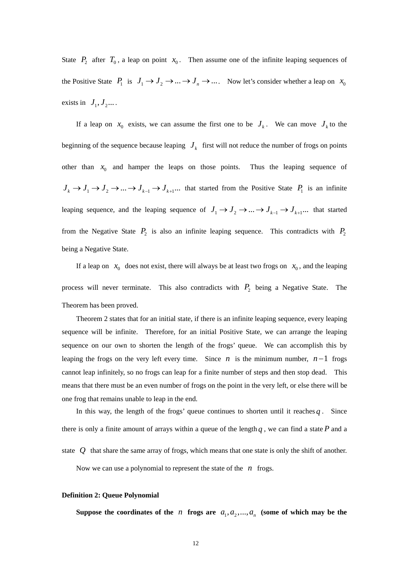State  $P_2$  after  $T_0$ , a leap on point  $x_0$ . Then assume one of the infinite leaping sequences of the Positive State  $P_1$  is  $J_1 \rightarrow J_2 \rightarrow ... \rightarrow J_n \rightarrow ...$  Now let's consider whether a leap on  $x_0$ exists in  $J_1, J_2, \ldots$ 

If a leap on  $x_0$  exists, we can assume the first one to be  $J_k$ . We can move  $J_k$  to the beginning of the sequence because leaping  $J_k$  first will not reduce the number of frogs on points other than  $x_0$  and hamper the leaps on those points. Thus the leaping sequence of  $J_k \to J_1 \to J_2 \to \dots \to J_{k-1} \to J_{k+1} \dots$  that started from the Positive State  $P_1$  is an infinite leaping sequence, and the leaping sequence of  $J_1 \to J_2 \to \dots \to J_{k-1} \to J_{k+1} \dots$  that started from the Negative State  $P_2$  is also an infinite leaping sequence. This contradicts with  $P_2$ being a Negative State.

If a leap on  $x_0$  does not exist, there will always be at least two frogs on  $x_0$ , and the leaping process will never terminate. This also contradicts with  $P_2$  being a Negative State. The Theorem has been proved.

Theorem 2 states that for an initial state, if there is an infinite leaping sequence, every leaping sequence will be infinite. Therefore, for an initial Positive State, we can arrange the leaping sequence on our own to shorten the length of the frogs' queue. We can accomplish this by leaping the frogs on the very left every time. Since  $n$  is the minimum number,  $n-1$  frogs cannot leap infinitely, so no frogs can leap for a finite number of steps and then stop dead. This means that there must be an even number of frogs on the point in the very left, or else there will be one frog that remains unable to leap in the end.

In this way, the length of the frogs' queue continues to shorten until it reaches  $q$ . Since there is only a finite amount of arrays within a queue of the length  $q$ , we can find a state  $P$  and a state  $Q$  that share the same array of frogs, which means that one state is only the shift of another. Now we can use a polynomial to represent the state of the *n* frogs.

### **Definition 2: Queue Polynomial**

Suppose the coordinates of the *n* frogs are  $a_1, a_2, ..., a_n$  (some of which may be the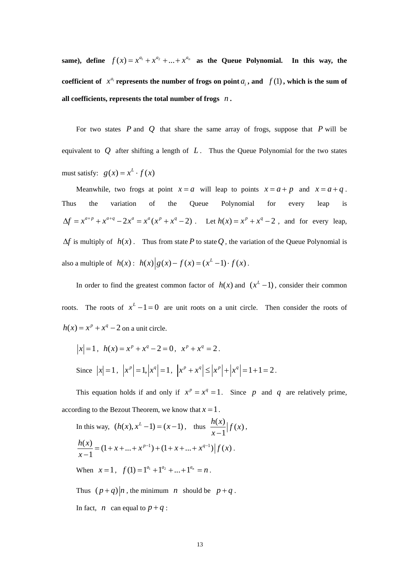same), define  $f(x) = x^{a_1} + x^{a_2} + ... + x^{a_n}$  as the Queue Polynomial. In this way, the **coefficient of**  $x^{a_i}$  **represents the number of frogs on point**  $a_i$ , and  $f(1)$ , which is the sum of **all coefficients, represents the total number of frogs** *n* **.** 

For two states  $P$  and  $Q$  that share the same array of frogs, suppose that  $P$  will be equivalent to  $Q$  after shifting a length of  $L$ . Thus the Queue Polynomial for the two states must satisfy:  $g(x) = x^L \cdot f(x)$ 

Meanwhile, two frogs at point  $x = a$  will leap to points  $x = a + p$  and  $x = a + q$ . Thus the variation of the Queue Polynomial for every leap is  $\Delta f = x^{a+p} + x^{a+q} - 2x^a = x^a(x^p + x^q - 2)$ . Let  $h(x) = x^p + x^q - 2$ , and for every leap,  $\Delta f$  is multiply of  $h(x)$ . Thus from state P to state Q, the variation of the Queue Polynomial is also a multiple of  $h(x)$ :  $h(x) | g(x) - f(x) = (x^L - 1) \cdot f(x)$ .

In order to find the greatest common factor of  $h(x)$  and  $(x^L - 1)$ , consider their common roots. The roots of  $x^L - 1 = 0$  are unit roots on a unit circle. Then consider the roots of  $h(x) = x^p + x^q - 2$  on a unit circle.

$$
|x| = 1
$$
,  $h(x) = x^p + x^q - 2 = 0$ ,  $x^p + x^q = 2$ .  
Since  $|x| = 1$ ,  $|x^p| = 1$ ,  $|x^q| = 1$ ,  $|x^p + x^q| \le |x^p| + |x^q| = 1 + 1 = 2$ .

This equation holds if and only if  $x^p = x^q = 1$ . Since p and q are relatively prime, according to the Bezout Theorem, we know that  $x = 1$ .

In this way, 
$$
(h(x), x^{L} - 1) = (x - 1)
$$
, thus  $\frac{h(x)}{x - 1} | f(x)$ ,  
\n $\frac{h(x)}{x - 1} = (1 + x + ... + x^{p-1}) + (1 + x + ... + x^{q-1}) | f(x)$ .  
\nWhen  $x = 1$ ,  $f(1) = 1^{a_{1}} + 1^{a_{2}} + ... + 1^{a_{n}} = n$ .

Thus  $(p+q)|n$ , the minimum *n* should be  $p+q$ . In fact, *n* can equal to  $p + q$ :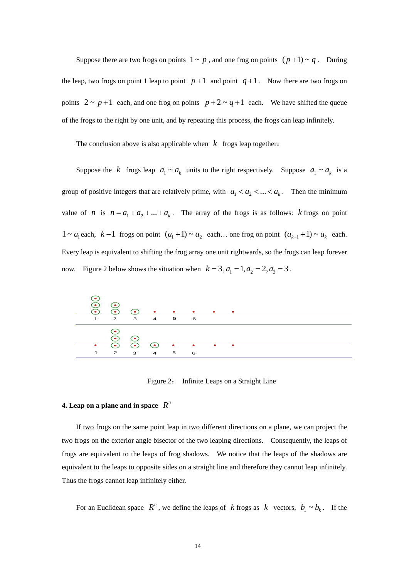Suppose there are two frogs on points  $1 \sim p$ , and one frog on points  $(p+1) \sim q$ . During the leap, two frogs on point 1 leap to point  $p+1$  and point  $q+1$ . Now there are two frogs on points  $2 \sim p+1$  each, and one frog on points  $p+2 \sim q+1$  each. We have shifted the queue of the frogs to the right by one unit, and by repeating this process, the frogs can leap infinitely.

The conclusion above is also applicable when  $k$  frogs leap together:

Suppose the *k* frogs leap  $a_1 \sim a_k$  units to the right respectively. Suppose  $a_1 \sim a_k$  is a group of positive integers that are relatively prime, with  $a_1 < a_2 < ... < a_k$ . Then the minimum value of *n* is  $n = a_1 + a_2 + ... + a_k$ . The array of the frogs is as follows: *k* frogs on point 1 ~ *a*<sub>1</sub> each,  $k-1$  frogs on point  $(a_1+1)$  ~  $a_2$  each... one frog on point  $(a_{k-1}+1)$  ~  $a_k$  each. Every leap is equivalent to shifting the frog array one unit rightwards, so the frogs can leap forever now. Figure 2 below shows the situation when  $k = 3$ ,  $a_1 = 1$ ,  $a_2 = 2$ ,  $a_3 = 3$ .



Figure 2: Infinite Leaps on a Straight Line

## **4.** Leap on a plane and in space  $R^n$

If two frogs on the same point leap in two different directions on a plane, we can project the two frogs on the exterior angle bisector of the two leaping directions. Consequently, the leaps of frogs are equivalent to the leaps of frog shadows. We notice that the leaps of the shadows are equivalent to the leaps to opposite sides on a straight line and therefore they cannot leap infinitely. Thus the frogs cannot leap infinitely either.

For an Euclidean space  $R^n$ , we define the leaps of *k* frogs as *k* vectors,  $b_1 \sim b_k$ . If the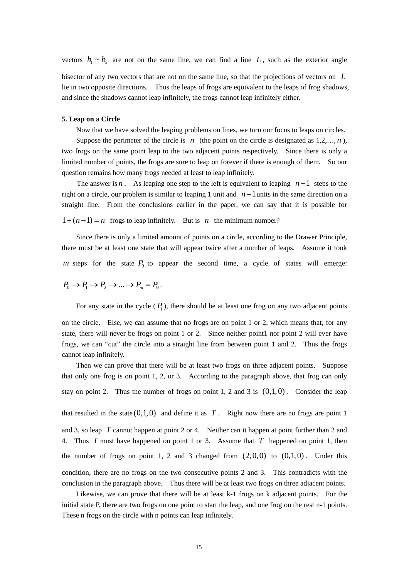vectors  $b_1 \sim b_k$  are not on the same line, we can find a line L, such as the exterior angle

bisector of any two vectors that are not on the same line, so that the projections of vectors on *L* lie in two opposite directions. Thus the leaps of frogs are equivalent to the leaps of frog shadows, and since the shadows cannot leap infinitely, the frogs cannot leap infinitely either.

## **5. Leap on a Circle**

Now that we have solved the leaping problems on lines, we turn our focus to leaps on circles.

Suppose the perimeter of the circle is  $n$  (the point on the circle is designated as  $1,2,..., n$ ), two frogs on the same point leap to the two adjacent points respectively. Since there is only a limited number of points, the frogs are sure to leap on forever if there is enough of them. So our question remains how many frogs needed at least to leap infinitely.

The answer is *n*. As leaping one step to the left is equivalent to leaping  $n-1$  steps to the right on a circle, our problem is similar to leaping 1 unit and  $n-1$ units in the same direction on a straight line. From the conclusions earlier in the paper, we can say that it is possible for

 $1 + (n-1) = n$  frogs to leap infinitely. But is n the minimum number?

Since there is only a limited amount of points on a circle, according to the Drawer Principle, there must be at least one state that will appear twice after a number of leaps. Assume it took m steps for the state  $P_0$  to appear the second time, a cycle of states will emerge:

$$
P_0 \to P_1 \to P_2 \to \dots \to P_m = P_0.
$$

For any state in the cycle  $(P_i)$ , there should be at least one frog on any two adjacent points

on the circle. Else, we can assume that no frogs are on point 1 or 2, which means that, for any state, there will never be frogs on point 1 or 2. Since neither point 1 nor point 2 will ever have frogs, we can "cut" the circle into a straight line from between point 1 and 2. Thus the frogs cannot leap infinitely.

Then we can prove that there will be at least two frogs on three adjacent points. Suppose that only one frog is on point 1, 2, or 3. According to the paragraph above, that frog can only stay on point 2. Thus the number of frogs on point 1, 2 and 3 is  $(0,1,0)$ . Consider the leap that resulted in the state  $(0,1,0)$  and define it as T. Right now there are no frogs are point 1 and 3, so leap  $T$  cannot happen at point 2 or 4. Neither can it happen at point further than 2 and 4. Thus  $T$  must have happened on point 1 or 3. Assume that  $T$  happened on point 1, then the number of frogs on point 1, 2 and 3 changed from  $(2,0,0)$  to  $(0,1,0)$ . Under this condition, there are no frogs on the two consecutive points 2 and 3. This contradicts with the conclusion in the paragraph above. Thus there will be at least two frogs on three adjacent points.

Likewise, we can prove that there will be at least k-1 frogs on k adjacent points. For the initial state P, there are two frogs on one point to start the leap, and one frog on the rest n-1 points. These n frogs on the circle with n points can leap infinitely.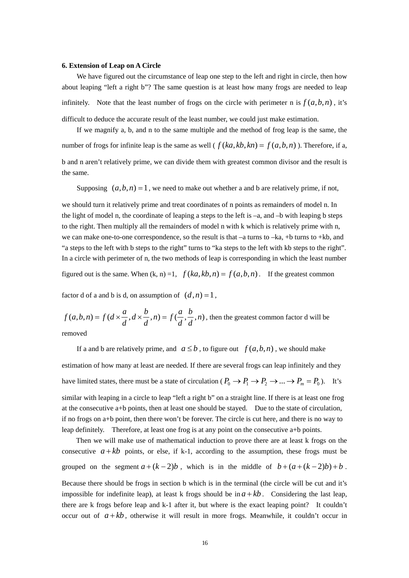### **6. Extension of Leap on A Circle**

We have figured out the circumstance of leap one step to the left and right in circle, then how about leaping "left a right b"? The same question is at least how many frogs are needed to leap infinitely. Note that the least number of frogs on the circle with perimeter n is  $f(a,b,n)$ , it's difficult to deduce the accurate result of the least number, we could just make estimation.

If we magnify a, b, and n to the same multiple and the method of frog leap is the same, the number of frogs for infinite leap is the same as well ( $f (ka, kb, kn) = f (a, b, n)$ ). Therefore, if a, b and n aren't relatively prime, we can divide them with greatest common divisor and the result is the same.

Supposing  $(a, b, n) = 1$ , we need to make out whether a and b are relatively prime, if not,

we should turn it relatively prime and treat coordinates of n points as remainders of model n. In the light of model n, the coordinate of leaping a steps to the left is  $-a$ , and  $-b$  with leaping b steps to the right. Then multiply all the remainders of model n with k which is relatively prime with n, we can make one-to-one correspondence, so the result is that  $-a$  turns to  $-ka$ ,  $+b$  turns to  $+kb$ , and "a steps to the left with b steps to the right" turns to "ka steps to the left with kb steps to the right". In a circle with perimeter of n, the two methods of leap is corresponding in which the least number

figured out is the same. When  $(k, n) = 1$ ,  $f(ka, kb, n) = f(a, b, n)$ . If the greatest common

factor d of a and b is d, on assumption of  $(d, n) = 1$ ,

 $f(a,b,n) = f(d \times \frac{a}{d}, d \times \frac{b}{d}, n) = f(\frac{a}{d}, \frac{b}{d}, n)$ , then the greatest common factor d will be

removed

If a and b are relatively prime, and  $a \leq b$ , to figure out  $f(a,b,n)$ , we should make estimation of how many at least are needed. If there are several frogs can leap infinitely and they have limited states, there must be a state of circulation ( $P_0 \to P_1 \to P_2 \to ... \to P_m = P_0$ ). It's similar with leaping in a circle to leap "left a right b" on a straight line. If there is at least one frog at the consecutive a+b points, then at least one should be stayed. Due to the state of circulation, if no frogs on a+b point, then there won't be forever. The circle is cut here, and there is no way to leap definitely. Therefore, at least one frog is at any point on the consecutive a+b points.

Then we will make use of [mathematical induction](javascript:showjdsw() to prove there are at least k frogs on the consecutive  $a + kb$  points, or else, if k-1, according to the assumption, these frogs must be grouped on the segment  $a + (k-2)b$ , which is in the middle of  $b + (a + (k-2)b) + b$ .

Because there should be frogs in section b which is in the terminal (the circle will be cut and it's impossible for indefinite leap), at least k frogs should be in  $a + kb$ . Considering the last leap, there are k frogs before leap and k-1 after it, but where is the exact leaping point? It couldn't occur out of  $a + kb$ , otherwise it will result in more frogs. Meanwhile, it couldn't occur in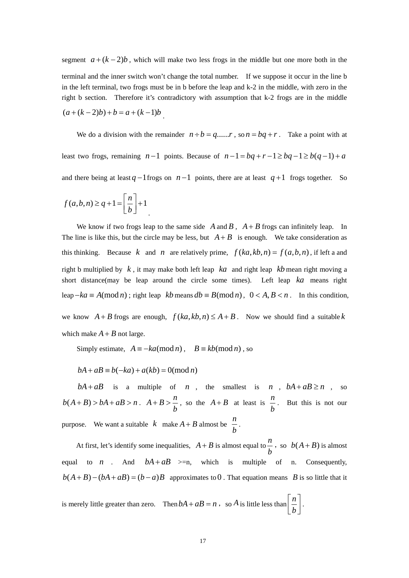segment  $a + (k-2)b$ , which will make two less frogs in the middle but one more both in the terminal and the inner switch won't change the total number. If we suppose it occur in the line b in the left terminal, two frogs must be in b before the leap and k-2 in the middle, with zero in the right b section. Therefore it's contradictory with assumption that k-2 frogs are in the middle  $(a+(k-2)b)+b=a+(k-1)b$ .

We do a division with the remainder  $n \div b = q$ ...... , so  $n = bq + r$ . Take a point with at least two frogs, remaining  $n-1$  points. Because of  $n-1 = bq + r - 1 \ge bq - 1 \ge b(q-1) + a$ and there being at least  $q-1$  frogs on  $n-1$  points, there are at least  $q+1$  frogs together. So

$$
f(a,b,n) \ge q+1 = \left[\frac{n}{b}\right] + 1
$$

We know if two frogs leap to the same side  $\overline{A}$  and  $\overline{B}$ ,  $\overline{A} + \overline{B}$  frogs can infinitely leap. In The line is like this, but the circle may be less, but  $A + B$  is enough. We take consideration as this thinking. Because *k* and *n* are relatively prime,  $f(ka, kb, n) = f(a, b, n)$ , if left a and right b multiplied by  $k$ , it may make both left leap  $ka$  and right leap  $kb$  mean right moving a short distance(may be leap around the circle some times). Left leap  $ka$  means right leap  $-ka \equiv A \pmod{n}$ ; right leap  $kb$  means  $db \equiv B \pmod{n}$ ,  $0 < A, B < n$ . In this condition,

we know  $A + B$  frogs are enough,  $f(ka, kb, n) \leq A + B$ . Now we should find a suitable k which make  $A + B$  not large.

Simply estimate,  $A = -ka \pmod{n}$ ,  $B = kb \pmod{n}$ , so

$$
bA + aB \equiv b(-ka) + a(kb) = 0 \pmod{n}
$$

 $bA + aB$  is a multiple of *n*, the smallest is *n*,  $bA + aB \ge n$ , so  $b(A + B) > bA + aB > n$ .  $A + B > \frac{n}{b}$ *b*  $+B > \frac{n}{n}$ , so the  $A+B$  at least is  $\frac{n}{b}$ *b* . But this is not our purpose. We want a suitable  $k$  make  $A + B$  almost be  $\frac{n}{b}$ *b* .

At first, let's identify some inequalities,  $A + B$  is almost equal to  $\frac{n}{A}$ *b f*, so  $b(A + B)$  is almost equal to *n*. And  $bA + aB \geq n$ , which is multiple of *n*. Consequently,  $b(A+B)-(bA+aB)=(b-a)B$  approximates to 0. That equation means B is so little that it  $\alpha$  *n*  $\alpha$  And

is merely little greater than zero. Then  $bA + aB = n$ , so A is little less than  $\left[ \frac{n}{2} \right]$  $+aB = n$ , so A is little less than  $\left\lfloor \frac{n}{b} \right\rfloor$ .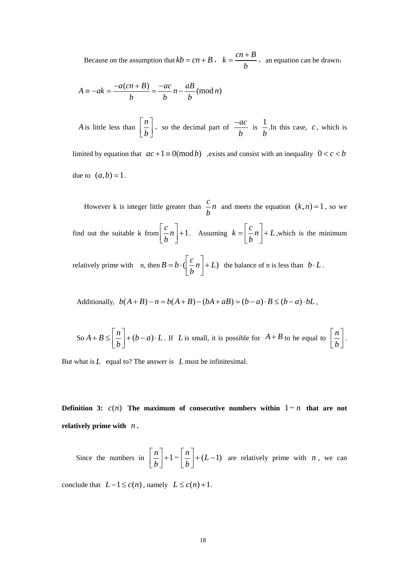Because on the assumption that  $kb = cn + B$ ,  $k = \frac{cn + B}{b}$ *b*  $=\frac{cn+B}{r}$ , an equation can be drawn:

$$
A \equiv -ak = \frac{-a(cn+B)}{b} = \frac{-ac}{b}n - \frac{aB}{b} \pmod{n}
$$

*A* is little less than  $\left[\frac{n}{n}\right]$ *b*  $\left\lfloor \frac{n}{b} \right\rfloor$ , so the decimal part of *ac b*  $\frac{-ac}{\hbar}$  is  $\frac{1}{1}$ *b* .In this case,  $c$ , which is

limited by equation that  $ac + 1 \equiv 0 \pmod{b}$  , exists and consist with an inequality  $0 < c < b$ due to  $(a,b) = 1$ .

However k is integer little greater than  $\frac{c}{b}n$  and meets the equation  $(k, n) = 1$ , so we find out the suitable k from  $\begin{bmatrix} c \\ -n \end{bmatrix} + 1$  $\left[\frac{c}{b}n\right]+1$ . Assuming  $k=\left[\frac{c}{b}n\right]$  $=\left[\frac{c}{b}n\right]+L$ , which is the minimum relatively prime with n, then  $B = b \cdot (\left[ \frac{c}{b} n \right] + L)$  the balance of n is less than  $b \cdot L$ .

Additionally,  $b(A + B) - n = b(A + B) - (bA + aB) = (b - a) \cdot B \le (b - a) \cdot bL$ ,

So 
$$
A + B \leq \left[\frac{n}{b}\right] + (b - a) \cdot L
$$
. If *L* is small, it is possible for  $A + B$  to be equal to  $\left[\frac{n}{b}\right]$ .

But what is *L* equal to? The answer is *L* must be infinitesimal.

**Definition 3:**  $c(n)$  The maximum of consecutive numbers within  $1 \sim n$  that are not relatively prime with  $n$ .

Since the numbers in  $\left[\frac{n}{h}\right] + 1 \sim \left[\frac{n}{h}\right] + (L-1)$  $\left\lfloor \frac{n}{b} \right\rfloor + 1 \sim \left\lfloor \frac{n}{b} \right\rfloor + (L$ are relatively prime with  $n$ , we can

conclude that  $L-1 \leq c(n)$ , namely  $L \leq c(n)+1$ .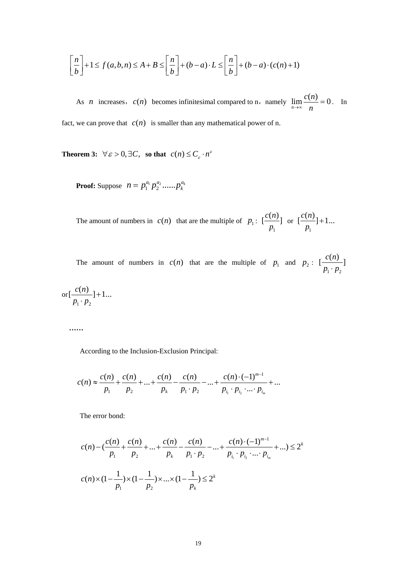$$
\left[\frac{n}{b}\right] + 1 \le f(a,b,n) \le A + B \le \left[\frac{n}{b}\right] + (b-a) \cdot L \le \left[\frac{n}{b}\right] + (b-a) \cdot (c(n) + 1)
$$

As *n* increases,  $c(n)$  becomes infinitesimal compared to n, namely  $\lim_{n\to\infty} \frac{c(n)}{n} = 0$  $\lim_{n \to \infty} \frac{c(n)}{n} = 0$ . In fact, we can prove that  $c(n)$  is smaller than any mathematical power of n.

**Theorem 3:**  $\forall \varepsilon > 0, \exists C$ , so that  $c(n) \le C_{\varepsilon} \cdot n^{\varepsilon}$ 

**Proof:** Suppose  $n = p_1^{a_1} p_2^{a_2} \dots p_k^{a_k}$ 

The amount of numbers in  $c(n)$  that are the multiple of  $p_1$ : 1  $\left[\frac{c(n)}{c(n)}\right]$ *p* or  $\overline{1}$  $\left[ \frac{c(n)}{n} \right] + 1...$ *p* +

The amount of numbers in  $c(n)$  that are the multiple of  $p_1$  and  $p_2$ :  $T_1$   $P_2$  $\left[ \frac{c(n)}{n} \right]$  $p_1 \cdot p$ 

$$
\text{or} \left[\frac{c(n)}{p_1 \cdot p_2}\right]+1...
$$

**……** 

According to the Inclusion-Exclusion Principal:

$$
c(n) \approx \frac{c(n)}{p_1} + \frac{c(n)}{p_2} + \dots + \frac{c(n)}{p_k} - \frac{c(n)}{p_1 \cdot p_2} - \dots + \frac{c(n) \cdot (-1)^{m-1}}{p_{i_1} \cdot p_{i_2} \cdot \dots \cdot p_{i_m}} + \dots
$$

The error bond:

$$
c(n) - \left(\frac{c(n)}{p_1} + \frac{c(n)}{p_2} + \dots + \frac{c(n)}{p_k} - \frac{c(n)}{p_1 \cdot p_2} - \dots + \frac{c(n) \cdot (-1)^{m-1}}{p_{i_1} \cdot p_{i_2} \cdot \dots \cdot p_{i_m}} + \dots\right) \le 2^k
$$
  

$$
c(n) \times (1 - \frac{1}{p_1}) \times (1 - \frac{1}{p_2}) \times \dots \times (1 - \frac{1}{p_k}) \le 2^k
$$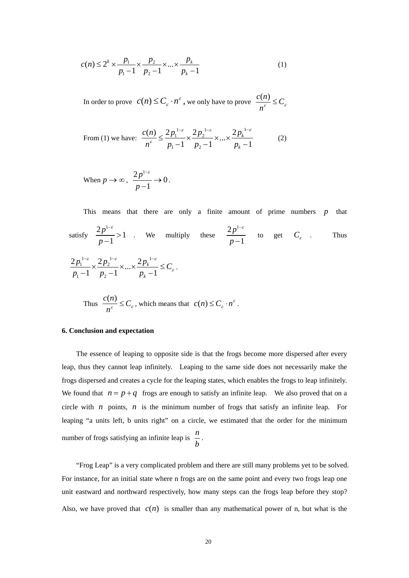$$
c(n) \le 2^{k} \times \frac{p_1}{p_1 - 1} \times \frac{p_2}{p_2 - 1} \times \dots \times \frac{p_k}{p_k - 1}
$$
 (1)

In order to prove  $c(n) \le C_{\varepsilon} \cdot n^{\varepsilon}$ , we only have to prove  $\frac{c(n)}{n^{\varepsilon}} \le C_{\varepsilon}$ 

From (1) we have: 
$$
\frac{c(n)}{n^{\varepsilon}} \leq \frac{2p_1^{1-\varepsilon}}{p_1 - 1} \times \frac{2p_2^{1-\varepsilon}}{p_2 - 1} \times ... \times \frac{2p_k^{1-\varepsilon}}{p_k - 1}
$$
(2)

When  $p \to \infty$ ,  $\frac{2p^{1-\varepsilon}}{1} \to 0$ 1 *p p* −<sup>ε</sup>  $\frac{1}{-1} \rightarrow 0$ .

This means that there are only a finite amount of prime numbers  $p$  that satisfy  $\frac{2p^{1-\epsilon}}{1} > 1$ 1 *p p* −<sup>ε</sup>  $\frac{1}{-1}$  > 1 . We multiply these  $2p^1$ 1 *p p* −<sup>ε</sup>  $\frac{1}{-1}$  to get  $C_{\varepsilon}$  . Thus  $1-\varepsilon$   $2n^{1-\varepsilon}$   $2n^{1}$  $1 \times \frac{2p_2}{2}$  $\frac{2p_1^{1-\varepsilon}}{p_1-1} \times \frac{2p_2^{1-\varepsilon}}{p_2-1} \times ... \times \frac{2p_k^{1-\varepsilon}}{p_k-1}$ *k*  $p_1^{1-\varepsilon} \times \frac{2p_2^{1-\varepsilon}}{2} \times ... \times \frac{2p_k^{1-\varepsilon}}{2} \leq C$  $p_1 - 1 \quad p_2 - 1 \quad p$ ε  $\cap$  1-ε  $\cap$  1-ε ε  $-\varepsilon$   $\gamma$   $1-\varepsilon$   $\gamma$   $\gamma$   $1-\varepsilon$  $\frac{1}{-1} \times \frac{2p_2}{p_2 - 1} \times ... \times \frac{2p_k}{p_k - 1} \leq C_{\varepsilon}.$ 

Thus 
$$
\frac{c(n)}{n^{\varepsilon}} \leq C_{\varepsilon}
$$
, which means that  $c(n) \leq C_{\varepsilon} \cdot n^{\varepsilon}$ .

### **6. Conclusion and [expectation](javascript:showjdsw()**

The essence of leaping to opposite side is that the frogs become more dispersed after every leap, thus they cannot leap infinitely. Leaping to the same side does not necessarily make the frogs dispersed and creates a cycle for the leaping states, which enables the frogs to leap infinitely. We found that  $n = p + q$  frogs are enough to satisfy an infinite leap. We also proved that on a circle with  $n$  points,  $n$  is the minimum number of frogs that satisfy an infinite leap. For leaping "a units left, b units right" on a circle, we estimated that the order for the minimum number of frogs satisfying an infinite leap is *n*  $\frac{b}{b}$ .

"Frog Leap" is a very complicated problem and there are still many problems yet to be solved. For instance, for an initial state where n frogs are on the same point and every two frogs leap one unit eastward and northward respectively, how many steps can the frogs leap before they stop? Also, we have proved that  $c(n)$  is smaller than any mathematical power of n, but what is the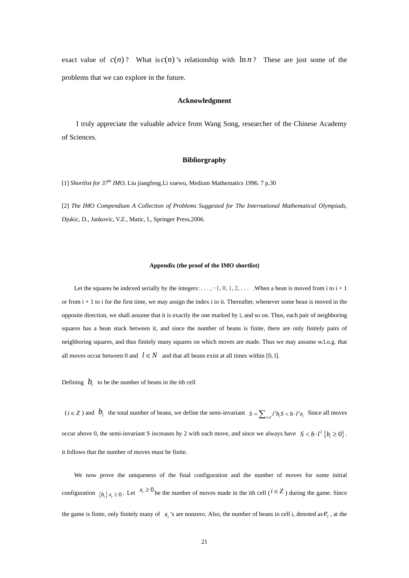exact value of  $c(n)$ ? What is  $c(n)$ 's relationship with  $\ln n$ ? These are just some of the problems that we can explore in the future.

### **Acknowledgment**

I truly appreciate the valuable advice from Wang Song, researcher of the Chinese Academy of Sciences.

### **Bibliorgraphy**

[1] *Shortlist for 37th IMO*, Liu jiangfeng.Li xuewu, Medium Mathematics 1996. 7 p.30

[2] *The IMO Compendium A Collection of Problems Suggested for The International Mathematical Olympiads*, Djukic, D., Jankovic, V.Z., Matic, I., Springer Press,2006.

### **Appendix (the proof of the IMO shortlist)**

Let the squares be indexed serially by the integers:..., -1, 0, 1, 2, ... . When a bean is moved from i to  $i + 1$ or from  $i + 1$  to i for the first time, we may assign the index i to it. Thereafter, whenever some bean is moved in the opposite direction, we shall assume that it is exactly the one marked by i, and so on. Thus, each pair of neighboring squares has a bean stuck between it, and since the number of beans is finite, there are only finitely pairs of neighboring squares, and thus finitely many squares on which moves are made. Thus we may assume w.l.o.g. that all moves occur between 0 and  $l \in N$  and that all beans exist at all times within [0, 1].

Defining  $\dot{b}_i$  to be the number of beans in the ith cell

 $(i \in \mathbb{Z})$  and  $b_i$  the total number of beans, we define the semi-invariant  $S = \sum_{i \in \mathbb{Z}} i^2 b_i S < b \cdot l^2 e_i$ . Since all moves occur above 0, the semi-invariant S increases by 2 with each move, and since we always have  $S < b \cdot l^2 \{b \ge 0\}$ , it follows that the number of moves must be finite.

We now prove the uniqueness of the final configuration and the number of moves for some initial configuration  $\{b_i\}x_i \geq 0$ . Let  $x_i \geq 0$  be the number of moves made in the ith cell ( $i \in \mathbb{Z}$ ) during the game. Since the game is finite, only finitely many of  $x_i$  's are nonzero. Also, the number of beans in cell i, denoted as  $e_i$ , at the